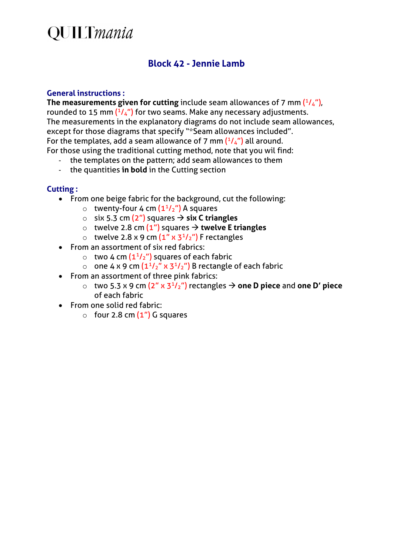# **QUILTmania**

### **Block 42 - Jennie Lamb**

#### **General instructions :**

**The measurements given for cutting** include seam allowances of 7 mm  $(^{1}/_{4})$ , rounded to 15 mm  $(^{1}/_{4}$ ") for two seams. Make any necessary adjustments. The measurements in the explanatory diagrams do not include seam allowances, except for those diagrams that specify "\*Seam allowances included". For the templates, add a seam allowance of 7 mm  $(^{1}/_{4}$ ") all around. For those using the traditional cutting method, note that you wil find:

- the templates on the pattern; add seam allowances to them
- the quantities **in bold** in the Cutting section

#### **Cutting :**

- From one beige fabric for the background, cut the following:
	- $\circ$  twenty-four 4 cm  $(1^{1}/2^{n})$  A squares
	- o six 5.3 cm (2") squares **six C triangles**
	- o twelve 2.8 cm  $(1'')$  squares  $\rightarrow$  twelve E triangles
	- $\circ$  twelve 2.8 x 9 cm  $(1'' \times 3^{1/2''})$  F rectangles
- From an assortment of six red fabrics:
	- $\circ$  two 4 cm  $(1^{1}/2^{n})$  squares of each fabric
	- o one 4 x 9 cm  $(1<sup>1</sup>/<sub>2</sub>''$  x 3<sup>1</sup>/<sub>2</sub>") B rectangle of each fabric
- From an assortment of three pink fabrics:
	- o two 5.3 x 9 cm (2" x 31/2") rectangles **one D piece** and **one D' piece** of each fabric
- From one solid red fabric:
	- $\circ$  four 2.8 cm  $(1")$  G squares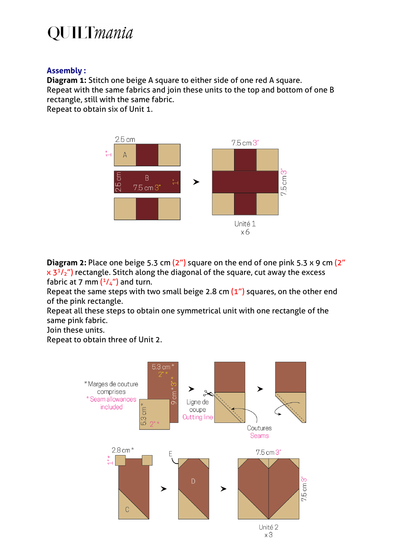# **QUILTmania**

### **Assembly :**

**Diagram 1:** Stitch one beige A square to either side of one red A square. Repeat with the same fabrics and join these units to the top and bottom of one B rectangle, still with the same fabric.

Repeat to obtain six of Unit 1.



**Diagram 2:** Place one beige 5.3 cm (2") square on the end of one pink 5.3 x 9 cm (2"  $x$  3<sup>1</sup>/<sub>2</sub>") rectangle. Stitch along the diagonal of the square, cut away the excess fabric at 7 mm  $(1/4)$  and turn.

Repeat the same steps with two small beige 2.8 cm  $(1'')$  squares, on the other end of the pink rectangle.

Repeat all these steps to obtain one symmetrical unit with one rectangle of the same pink fabric.

Join these units.

Repeat to obtain three of Unit 2.